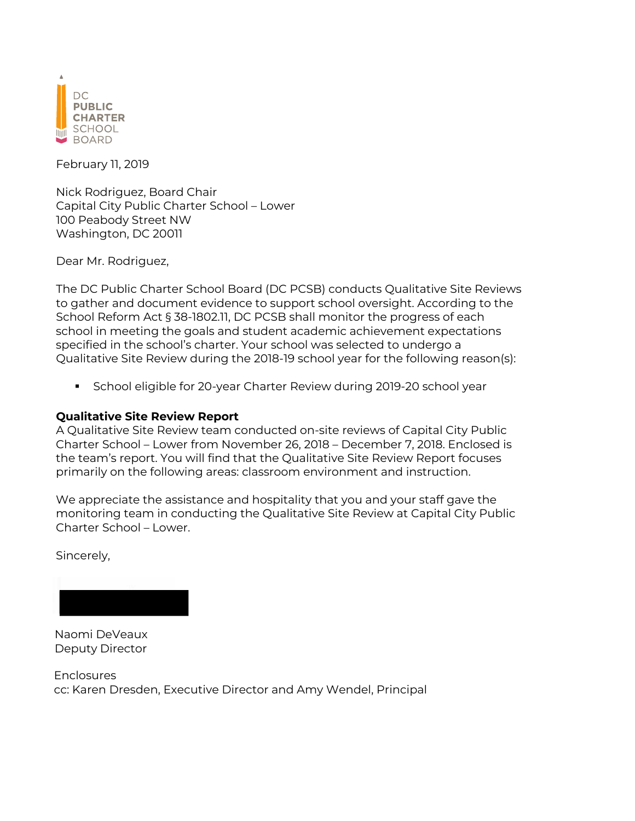

February 11, 2019

Nick Rodriguez, Board Chair Capital City Public Charter School – Lower 100 Peabody Street NW Washington, DC 20011

Dear Mr. Rodriguez,

The DC Public Charter School Board (DC PCSB) conducts Qualitative Site Reviews to gather and document evidence to support school oversight. According to the School Reform Act § 38-1802.11, DC PCSB shall monitor the progress of each school in meeting the goals and student academic achievement expectations specified in the school's charter. Your school was selected to undergo a Qualitative Site Review during the 2018-19 school year for the following reason(s):

§ School eligible for 20-year Charter Review during 2019-20 school year

### **Qualitative Site Review Report**

A Qualitative Site Review team conducted on-site reviews of Capital City Public Charter School – Lower from November 26, 2018 – December 7, 2018. Enclosed is the team's report. You will find that the Qualitative Site Review Report focuses primarily on the following areas: classroom environment and instruction.

We appreciate the assistance and hospitality that you and your staff gave the monitoring team in conducting the Qualitative Site Review at Capital City Public Charter School – Lower.

Sincerely,

Naomi DeVeaux Deputy Director

Enclosures cc: Karen Dresden, Executive Director and Amy Wendel, Principal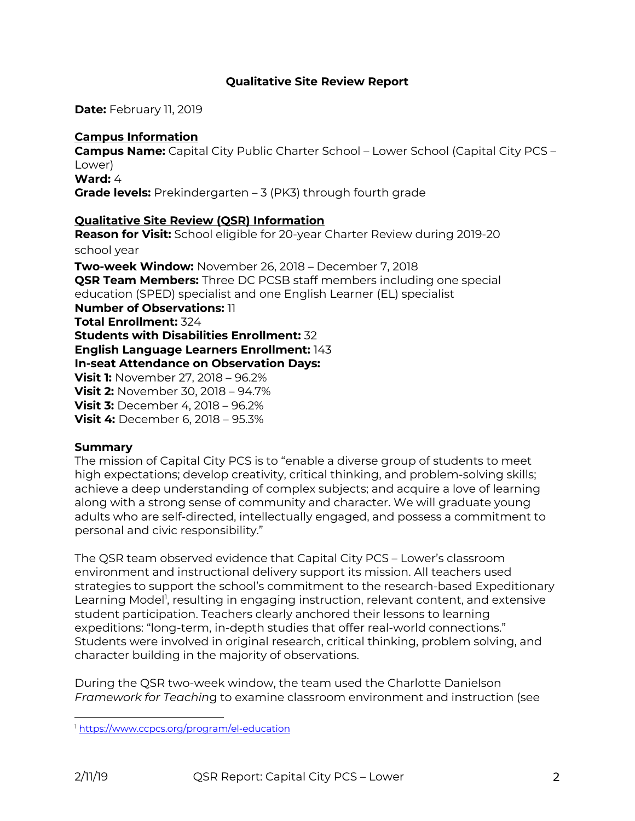## **Qualitative Site Review Report**

**Date:** February 11, 2019

### **Campus Information Campus Name:** Capital City Public Charter School – Lower School (Capital City PCS – Lower) **Ward:** 4 **Grade levels:** Prekindergarten – 3 (PK3) through fourth grade

#### **Qualitative Site Review (QSR) Information**

**Reason for Visit:** School eligible for 20-year Charter Review during 2019-20 school year **Two-week Window:** November 26, 2018 – December 7, 2018 **QSR Team Members:** Three DC PCSB staff members including one special education (SPED) specialist and one English Learner (EL) specialist **Number of Observations:** 11 **Total Enrollment:** 324 **Students with Disabilities Enrollment:** 32 **English Language Learners Enrollment:** 143 **In-seat Attendance on Observation Days: Visit 1:** November 27, 2018 – 96.2% **Visit 2:** November 30, 2018 – 94.7% **Visit 3:** December 4, 2018 – 96.2% **Visit 4:** December 6, 2018 – 95.3%

#### **Summary**

The mission of Capital City PCS is to "enable a diverse group of students to meet high expectations; develop creativity, critical thinking, and problem-solving skills; achieve a deep understanding of complex subjects; and acquire a love of learning along with a strong sense of community and character. We will graduate young adults who are self-directed, intellectually engaged, and possess a commitment to personal and civic responsibility."

The QSR team observed evidence that Capital City PCS – Lower's classroom environment and instructional delivery support its mission. All teachers used strategies to support the school's commitment to the research-based Expeditionary Learning Model<sup>1</sup>, resulting in engaging instruction, relevant content, and extensive student participation. Teachers clearly anchored their lessons to learning expeditions: "long-term, in-depth studies that offer real-world connections." Students were involved in original research, critical thinking, problem solving, and character building in the majority of observations.

During the QSR two-week window, the team used the Charlotte Danielson *Framework for Teachin*g to examine classroom environment and instruction (see

<sup>1</sup> https://www.ccpcs.org/program/el-education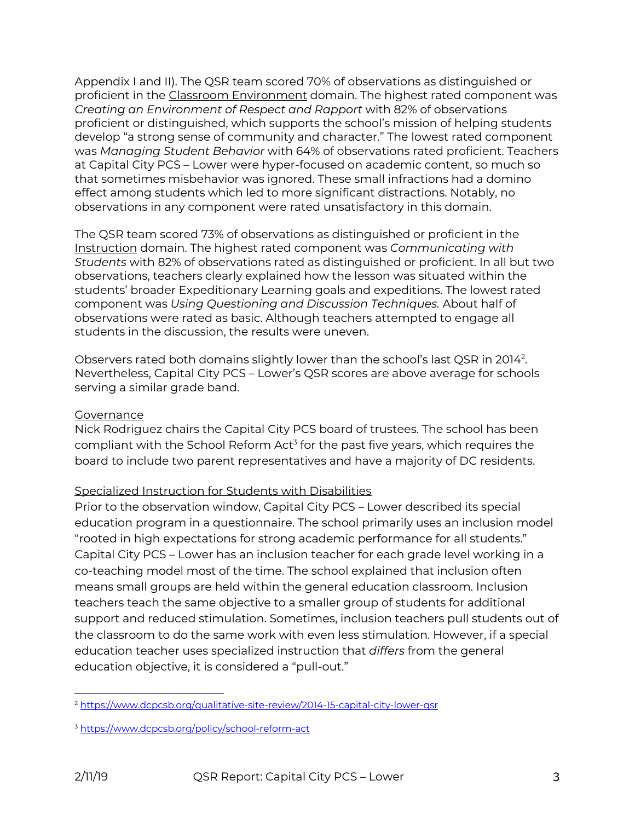Appendix I and II). The QSR team scored 70% of observations as distinguished or proficient in the Classroom Environment domain. The highest rated component was *Creating an Environment of Respect and Rapport* with 82% of observations proficient or distinguished, which supports the school's mission of helping students develop "a strong sense of community and character." The lowest rated component was *Managing Student Behavior* with 64% of observations rated proficient. Teachers at Capital City PCS – Lower were hyper-focused on academic content, so much so that sometimes misbehavior was ignored. These small infractions had a domino effect among students which led to more significant distractions. Notably, no observations in any component were rated unsatisfactory in this domain.

The QSR team scored 73% of observations as distinguished or proficient in the Instruction domain. The highest rated component was *Communicating with Students* with 82% of observations rated as distinguished or proficient. In all but two observations, teachers clearly explained how the lesson was situated within the students' broader Expeditionary Learning goals and expeditions. The lowest rated component was *Using Questioning and Discussion Techniques.* About half of observations were rated as basic. Although teachers attempted to engage all students in the discussion, the results were uneven.

Observers rated both domains slightly lower than the school's last QSR in 2014<sup>2</sup>. Nevertheless, Capital City PCS – Lower's QSR scores are above average for schools serving a similar grade band.

## Governance

Nick Rodriguez chairs the Capital City PCS board of trustees. The school has been compliant with the School Reform Act<sup>3</sup> for the past five years, which requires the board to include two parent representatives and have a majority of DC residents.

## Specialized Instruction for Students with Disabilities

Prior to the observation window, Capital City PCS – Lower described its special education program in a questionnaire. The school primarily uses an inclusion model "rooted in high expectations for strong academic performance for all students." Capital City PCS – Lower has an inclusion teacher for each grade level working in a co-teaching model most of the time. The school explained that inclusion often means small groups are held within the general education classroom. Inclusion teachers teach the same objective to a smaller group of students for additional support and reduced stimulation. Sometimes, inclusion teachers pull students out of the classroom to do the same work with even less stimulation. However, if a special education teacher uses specialized instruction that *differs* from the general education objective, it is considered a "pull-out."

 $\overline{a}$ <sup>2</sup> https://www.dcpcsb.org/qualitative-site-review/2014-15-capital-city-lower-qsr

<sup>3</sup> https://www.dcpcsb.org/policy/school-reform-act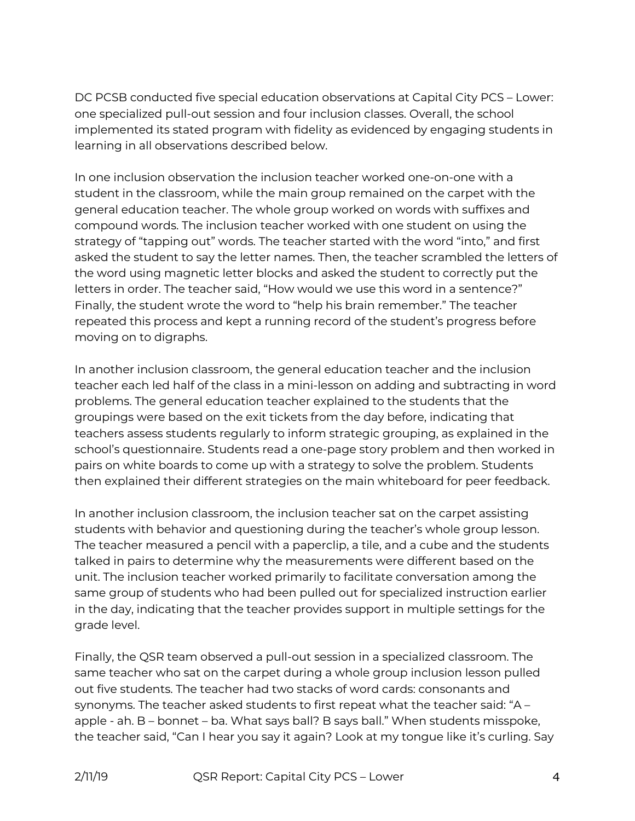DC PCSB conducted five special education observations at Capital City PCS – Lower: one specialized pull-out session and four inclusion classes. Overall, the school implemented its stated program with fidelity as evidenced by engaging students in learning in all observations described below.

In one inclusion observation the inclusion teacher worked one-on-one with a student in the classroom, while the main group remained on the carpet with the general education teacher. The whole group worked on words with suffixes and compound words. The inclusion teacher worked with one student on using the strategy of "tapping out" words. The teacher started with the word "into," and first asked the student to say the letter names. Then, the teacher scrambled the letters of the word using magnetic letter blocks and asked the student to correctly put the letters in order. The teacher said, "How would we use this word in a sentence?" Finally, the student wrote the word to "help his brain remember." The teacher repeated this process and kept a running record of the student's progress before moving on to digraphs.

In another inclusion classroom, the general education teacher and the inclusion teacher each led half of the class in a mini-lesson on adding and subtracting in word problems. The general education teacher explained to the students that the groupings were based on the exit tickets from the day before, indicating that teachers assess students regularly to inform strategic grouping, as explained in the school's questionnaire. Students read a one-page story problem and then worked in pairs on white boards to come up with a strategy to solve the problem. Students then explained their different strategies on the main whiteboard for peer feedback.

In another inclusion classroom, the inclusion teacher sat on the carpet assisting students with behavior and questioning during the teacher's whole group lesson. The teacher measured a pencil with a paperclip, a tile, and a cube and the students talked in pairs to determine why the measurements were different based on the unit. The inclusion teacher worked primarily to facilitate conversation among the same group of students who had been pulled out for specialized instruction earlier in the day, indicating that the teacher provides support in multiple settings for the grade level.

Finally, the QSR team observed a pull-out session in a specialized classroom. The same teacher who sat on the carpet during a whole group inclusion lesson pulled out five students. The teacher had two stacks of word cards: consonants and synonyms. The teacher asked students to first repeat what the teacher said: "A – apple - ah. B – bonnet – ba. What says ball? B says ball." When students misspoke, the teacher said, "Can I hear you say it again? Look at my tongue like it's curling. Say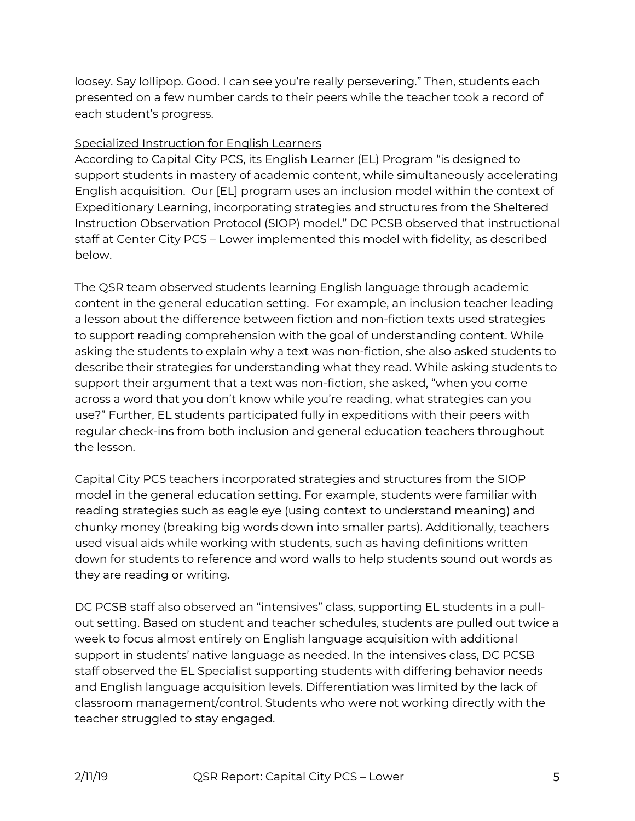loosey. Say lollipop. Good. I can see you're really persevering." Then, students each presented on a few number cards to their peers while the teacher took a record of each student's progress.

## Specialized Instruction for English Learners

According to Capital City PCS, its English Learner (EL) Program "is designed to support students in mastery of academic content, while simultaneously accelerating English acquisition. Our [EL] program uses an inclusion model within the context of Expeditionary Learning, incorporating strategies and structures from the Sheltered Instruction Observation Protocol (SIOP) model." DC PCSB observed that instructional staff at Center City PCS – Lower implemented this model with fidelity, as described below.

The QSR team observed students learning English language through academic content in the general education setting. For example, an inclusion teacher leading a lesson about the difference between fiction and non-fiction texts used strategies to support reading comprehension with the goal of understanding content. While asking the students to explain why a text was non-fiction, she also asked students to describe their strategies for understanding what they read. While asking students to support their argument that a text was non-fiction, she asked, "when you come across a word that you don't know while you're reading, what strategies can you use?" Further, EL students participated fully in expeditions with their peers with regular check-ins from both inclusion and general education teachers throughout the lesson.

Capital City PCS teachers incorporated strategies and structures from the SIOP model in the general education setting. For example, students were familiar with reading strategies such as eagle eye (using context to understand meaning) and chunky money (breaking big words down into smaller parts). Additionally, teachers used visual aids while working with students, such as having definitions written down for students to reference and word walls to help students sound out words as they are reading or writing.

DC PCSB staff also observed an "intensives" class, supporting EL students in a pullout setting. Based on student and teacher schedules, students are pulled out twice a week to focus almost entirely on English language acquisition with additional support in students' native language as needed. In the intensives class, DC PCSB staff observed the EL Specialist supporting students with differing behavior needs and English language acquisition levels. Differentiation was limited by the lack of classroom management/control. Students who were not working directly with the teacher struggled to stay engaged.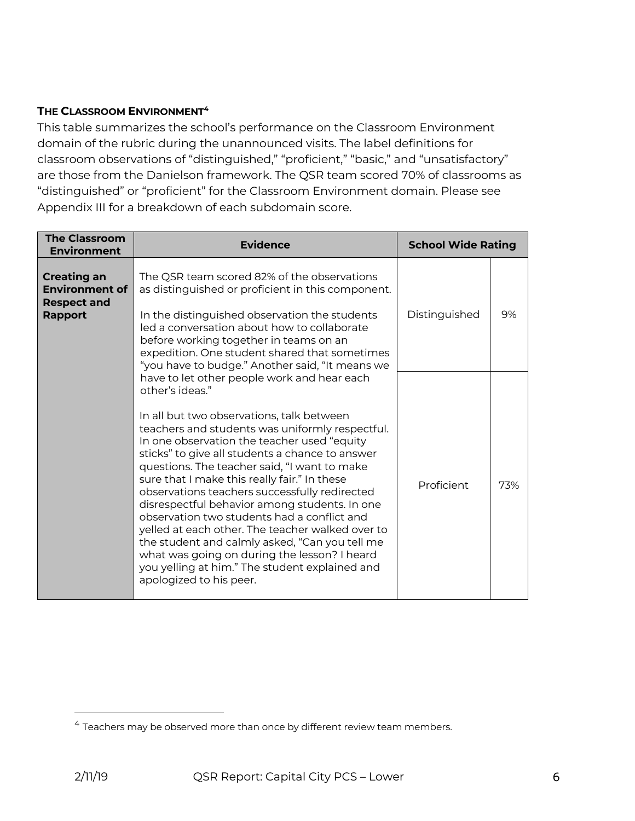## **THE CLASSROOM ENVIRONMENT4**

This table summarizes the school's performance on the Classroom Environment domain of the rubric during the unannounced visits. The label definitions for classroom observations of "distinguished," "proficient," "basic," and "unsatisfactory" are those from the Danielson framework. The QSR team scored 70% of classrooms as "distinguished" or "proficient" for the Classroom Environment domain. Please see Appendix III for a breakdown of each subdomain score.

| <b>The Classroom</b><br><b>Environment</b>                                          | Evidence                                                                                                                                                                                                                                                                                                                                                                                                                                                                                                                                                                                                                                                                                                                                             | <b>School Wide Rating</b> |     |
|-------------------------------------------------------------------------------------|------------------------------------------------------------------------------------------------------------------------------------------------------------------------------------------------------------------------------------------------------------------------------------------------------------------------------------------------------------------------------------------------------------------------------------------------------------------------------------------------------------------------------------------------------------------------------------------------------------------------------------------------------------------------------------------------------------------------------------------------------|---------------------------|-----|
| <b>Creating an</b><br><b>Environment of</b><br><b>Respect and</b><br><b>Rapport</b> | The QSR team scored 82% of the observations<br>as distinguished or proficient in this component.<br>In the distinguished observation the students<br>led a conversation about how to collaborate<br>before working together in teams on an<br>expedition. One student shared that sometimes<br>"you have to budge." Another said, "It means we                                                                                                                                                                                                                                                                                                                                                                                                       | Distinguished             | 9%  |
|                                                                                     | have to let other people work and hear each<br>other's ideas."<br>In all but two observations, talk between<br>teachers and students was uniformly respectful.<br>In one observation the teacher used "equity<br>sticks" to give all students a chance to answer<br>questions. The teacher said, "I want to make<br>sure that I make this really fair." In these<br>observations teachers successfully redirected<br>disrespectful behavior among students. In one<br>observation two students had a conflict and<br>yelled at each other. The teacher walked over to<br>the student and calmly asked, "Can you tell me<br>what was going on during the lesson? I heard<br>you yelling at him." The student explained and<br>apologized to his peer. | Proficient                | 73% |

 $\overline{a}$ 

<sup>4</sup> Teachers may be observed more than once by different review team members.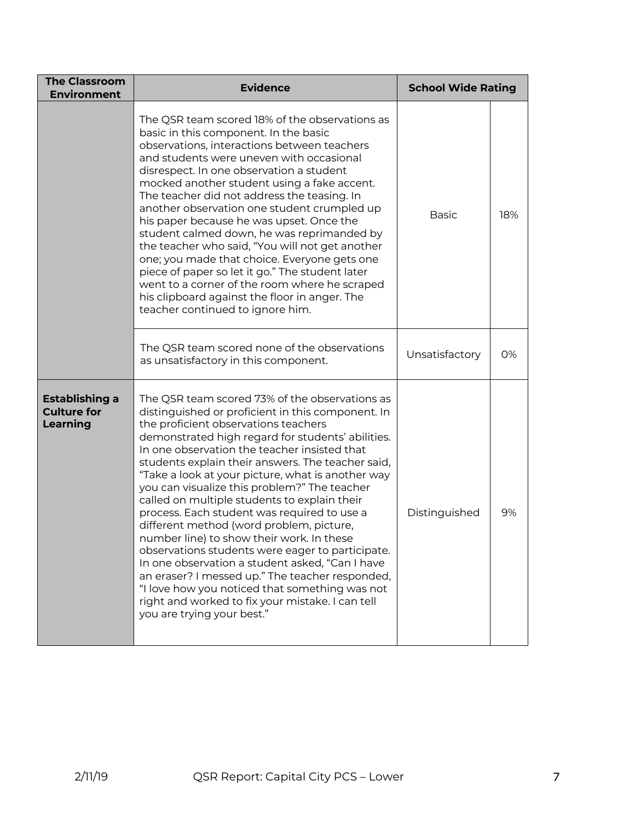| <b>The Classroom</b><br><b>Environment</b>              | <b>Evidence</b>                                                                                                                                                                                                                                                                                                                                                                                                                                                                                                                                                                                                                                                                                                                                                                                                                                                                                  | <b>School Wide Rating</b> |     |
|---------------------------------------------------------|--------------------------------------------------------------------------------------------------------------------------------------------------------------------------------------------------------------------------------------------------------------------------------------------------------------------------------------------------------------------------------------------------------------------------------------------------------------------------------------------------------------------------------------------------------------------------------------------------------------------------------------------------------------------------------------------------------------------------------------------------------------------------------------------------------------------------------------------------------------------------------------------------|---------------------------|-----|
|                                                         | The QSR team scored 18% of the observations as<br>basic in this component. In the basic<br>observations, interactions between teachers<br>and students were uneven with occasional<br>disrespect. In one observation a student<br>mocked another student using a fake accent.<br>The teacher did not address the teasing. In<br>another observation one student crumpled up<br>his paper because he was upset. Once the<br>student calmed down, he was reprimanded by<br>the teacher who said, "You will not get another<br>one; you made that choice. Everyone gets one<br>piece of paper so let it go." The student later<br>went to a corner of the room where he scraped<br>his clipboard against the floor in anger. The<br>teacher continued to ignore him.                                                                                                                                | <b>Basic</b>              | 18% |
|                                                         | The QSR team scored none of the observations<br>as unsatisfactory in this component.                                                                                                                                                                                                                                                                                                                                                                                                                                                                                                                                                                                                                                                                                                                                                                                                             | Unsatisfactory            | 0%  |
| Establishing a<br><b>Culture for</b><br><b>Learning</b> | The QSR team scored 73% of the observations as<br>distinguished or proficient in this component. In<br>the proficient observations teachers<br>demonstrated high regard for students' abilities.<br>In one observation the teacher insisted that<br>students explain their answers. The teacher said,<br>"Take a look at your picture, what is another way<br>you can visualize this problem?" The teacher<br>called on multiple students to explain their<br>process. Each student was required to use a<br>different method (word problem, picture,<br>number line) to show their work. In these<br>observations students were eager to participate.<br>In one observation a student asked, "Can I have<br>an eraser? I messed up." The teacher responded,<br>"I love how you noticed that something was not<br>right and worked to fix your mistake. I can tell<br>you are trying your best." | Distinguished             | 9%  |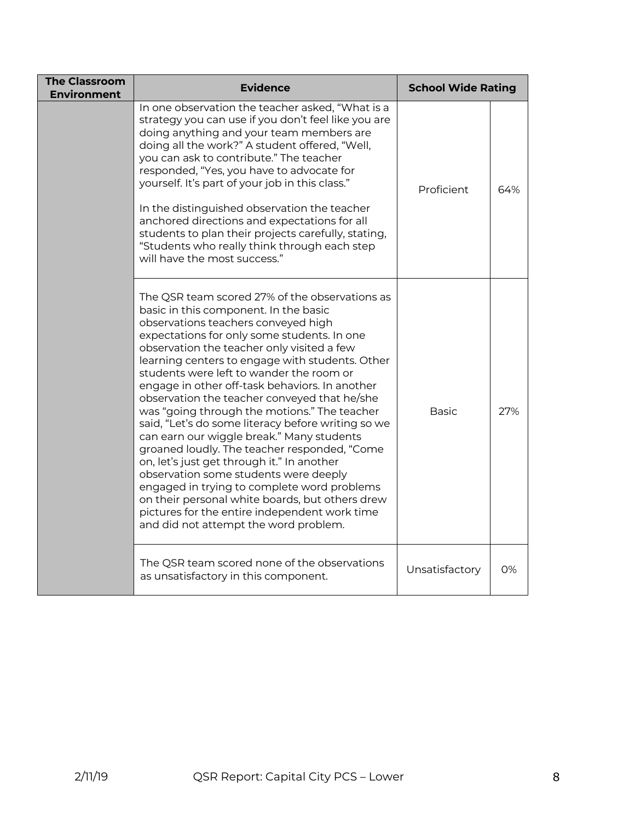| <b>The Classroom</b><br><b>Environment</b> | <b>Evidence</b>                                                                                                                                                                                                                                                                                                                                                                                                                                                                                                                                                                                                                                                                                                                                                                                                                                                                                                    | <b>School Wide Rating</b> |     |
|--------------------------------------------|--------------------------------------------------------------------------------------------------------------------------------------------------------------------------------------------------------------------------------------------------------------------------------------------------------------------------------------------------------------------------------------------------------------------------------------------------------------------------------------------------------------------------------------------------------------------------------------------------------------------------------------------------------------------------------------------------------------------------------------------------------------------------------------------------------------------------------------------------------------------------------------------------------------------|---------------------------|-----|
|                                            | In one observation the teacher asked, "What is a<br>strategy you can use if you don't feel like you are<br>doing anything and your team members are<br>doing all the work?" A student offered, "Well,<br>you can ask to contribute." The teacher<br>responded, "Yes, you have to advocate for<br>yourself. It's part of your job in this class."<br>In the distinguished observation the teacher<br>anchored directions and expectations for all<br>students to plan their projects carefully, stating,<br>"Students who really think through each step<br>will have the most success."                                                                                                                                                                                                                                                                                                                            | Proficient                | 64% |
|                                            | The QSR team scored 27% of the observations as<br>basic in this component. In the basic<br>observations teachers conveyed high<br>expectations for only some students. In one<br>observation the teacher only visited a few<br>learning centers to engage with students. Other<br>students were left to wander the room or<br>engage in other off-task behaviors. In another<br>observation the teacher conveyed that he/she<br>was "going through the motions." The teacher<br>said, "Let's do some literacy before writing so we<br>can earn our wiggle break." Many students<br>groaned loudly. The teacher responded, "Come<br>on, let's just get through it." In another<br>observation some students were deeply<br>engaged in trying to complete word problems<br>on their personal white boards, but others drew<br>pictures for the entire independent work time<br>and did not attempt the word problem. | <b>Basic</b>              | 27% |
|                                            | The QSR team scored none of the observations<br>as unsatisfactory in this component.                                                                                                                                                                                                                                                                                                                                                                                                                                                                                                                                                                                                                                                                                                                                                                                                                               | Unsatisfactory            | 0%  |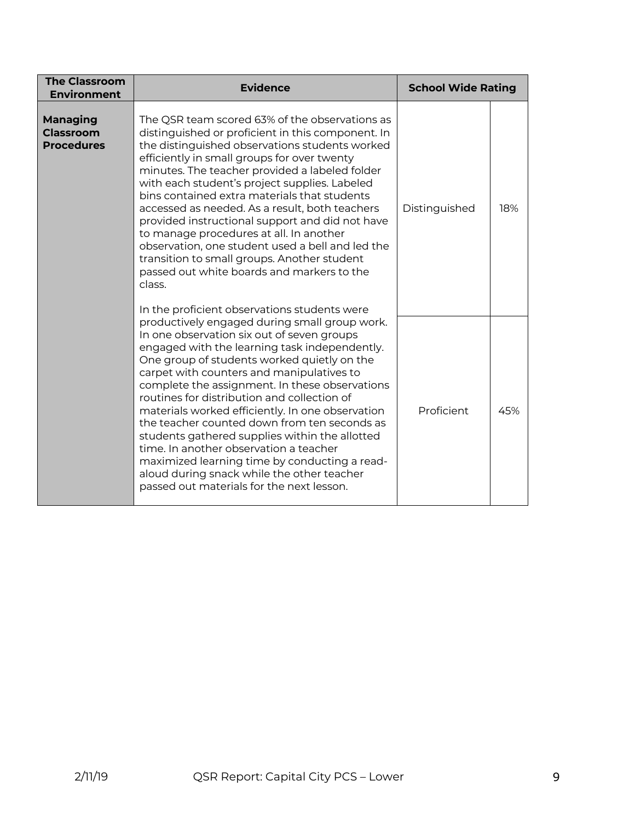| <b>The Classroom</b><br><b>Environment</b>               | <b>Evidence</b>                                                                                                                                                                                                                                                                                                                                                                                                                                                                                                                                                                                                                                                                                                    | <b>School Wide Rating</b> |     |
|----------------------------------------------------------|--------------------------------------------------------------------------------------------------------------------------------------------------------------------------------------------------------------------------------------------------------------------------------------------------------------------------------------------------------------------------------------------------------------------------------------------------------------------------------------------------------------------------------------------------------------------------------------------------------------------------------------------------------------------------------------------------------------------|---------------------------|-----|
| <b>Managing</b><br><b>Classroom</b><br><b>Procedures</b> | The QSR team scored 63% of the observations as<br>distinguished or proficient in this component. In<br>the distinguished observations students worked<br>efficiently in small groups for over twenty<br>minutes. The teacher provided a labeled folder<br>with each student's project supplies. Labeled<br>bins contained extra materials that students<br>accessed as needed. As a result, both teachers<br>provided instructional support and did not have<br>to manage procedures at all. In another<br>observation, one student used a bell and led the<br>transition to small groups. Another student<br>passed out white boards and markers to the<br>class.<br>In the proficient observations students were |                           | 18% |
|                                                          | productively engaged during small group work.<br>In one observation six out of seven groups<br>engaged with the learning task independently.<br>One group of students worked quietly on the<br>carpet with counters and manipulatives to<br>complete the assignment. In these observations<br>routines for distribution and collection of<br>materials worked efficiently. In one observation<br>the teacher counted down from ten seconds as<br>students gathered supplies within the allotted<br>time. In another observation a teacher<br>maximized learning time by conducting a read-<br>aloud during snack while the other teacher<br>passed out materials for the next lesson.                              | Proficient                | 45% |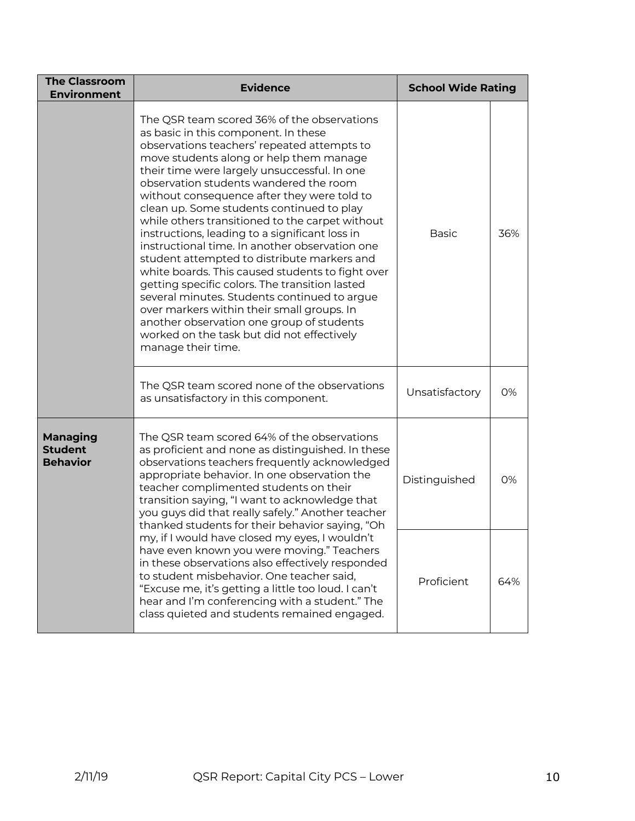| <b>The Classroom</b><br><b>Environment</b>                                                                                                                                                                                                                                                                                                                                                                                                                    | <b>Evidence</b>                                                                                                                                                                                                                                                                                                                                                                                                                                                                                                                                                                                                                                                                                                                                                                                                                                                                                | <b>School Wide Rating</b> |     |
|---------------------------------------------------------------------------------------------------------------------------------------------------------------------------------------------------------------------------------------------------------------------------------------------------------------------------------------------------------------------------------------------------------------------------------------------------------------|------------------------------------------------------------------------------------------------------------------------------------------------------------------------------------------------------------------------------------------------------------------------------------------------------------------------------------------------------------------------------------------------------------------------------------------------------------------------------------------------------------------------------------------------------------------------------------------------------------------------------------------------------------------------------------------------------------------------------------------------------------------------------------------------------------------------------------------------------------------------------------------------|---------------------------|-----|
|                                                                                                                                                                                                                                                                                                                                                                                                                                                               | The QSR team scored 36% of the observations<br>as basic in this component. In these<br>observations teachers' repeated attempts to<br>move students along or help them manage<br>their time were largely unsuccessful. In one<br>observation students wandered the room<br>without consequence after they were told to<br>clean up. Some students continued to play<br>while others transitioned to the carpet without<br>instructions, leading to a significant loss in<br>instructional time. In another observation one<br>student attempted to distribute markers and<br>white boards. This caused students to fight over<br>getting specific colors. The transition lasted<br>several minutes. Students continued to argue<br>over markers within their small groups. In<br>another observation one group of students<br>worked on the task but did not effectively<br>manage their time. | <b>Basic</b>              | 36% |
|                                                                                                                                                                                                                                                                                                                                                                                                                                                               | The QSR team scored none of the observations<br>as unsatisfactory in this component.                                                                                                                                                                                                                                                                                                                                                                                                                                                                                                                                                                                                                                                                                                                                                                                                           |                           | 0%  |
| The QSR team scored 64% of the observations<br><b>Managing</b><br><b>Student</b><br>as proficient and none as distinguished. In these<br><b>Behavior</b><br>observations teachers frequently acknowledged<br>appropriate behavior. In one observation the<br>teacher complimented students on their<br>transition saying, "I want to acknowledge that<br>you guys did that really safely." Another teacher<br>thanked students for their behavior saying, "Oh |                                                                                                                                                                                                                                                                                                                                                                                                                                                                                                                                                                                                                                                                                                                                                                                                                                                                                                | Distinguished             | 0%  |
|                                                                                                                                                                                                                                                                                                                                                                                                                                                               | my, if I would have closed my eyes, I wouldn't<br>have even known you were moving." Teachers<br>in these observations also effectively responded<br>to student misbehavior. One teacher said,<br>"Excuse me, it's getting a little too loud. I can't<br>hear and I'm conferencing with a student." The<br>class quieted and students remained engaged.                                                                                                                                                                                                                                                                                                                                                                                                                                                                                                                                         | Proficient                | 64% |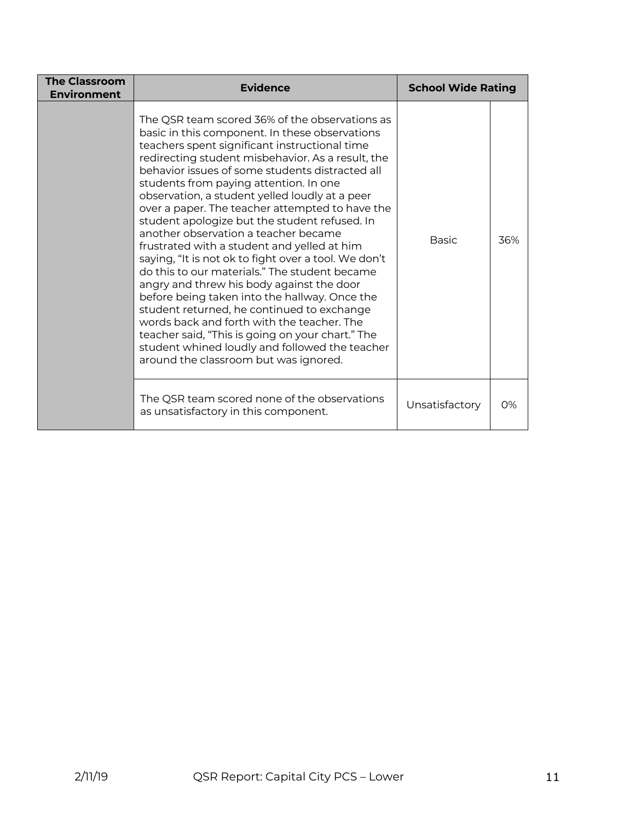| <b>The Classroom</b><br><b>Environment</b> | <b>Evidence</b>                                                                                                                                                                                                                                                                                                                                                                                                                                                                                                                                                                                                                                                                                                                                                                                                                                                                                                                                                                                    | <b>School Wide Rating</b> |     |
|--------------------------------------------|----------------------------------------------------------------------------------------------------------------------------------------------------------------------------------------------------------------------------------------------------------------------------------------------------------------------------------------------------------------------------------------------------------------------------------------------------------------------------------------------------------------------------------------------------------------------------------------------------------------------------------------------------------------------------------------------------------------------------------------------------------------------------------------------------------------------------------------------------------------------------------------------------------------------------------------------------------------------------------------------------|---------------------------|-----|
|                                            | The QSR team scored 36% of the observations as<br>basic in this component. In these observations<br>teachers spent significant instructional time<br>redirecting student misbehavior. As a result, the<br>behavior issues of some students distracted all<br>students from paying attention. In one<br>observation, a student yelled loudly at a peer<br>over a paper. The teacher attempted to have the<br>student apologize but the student refused. In<br>another observation a teacher became<br>frustrated with a student and yelled at him<br>saying, "It is not ok to fight over a tool. We don't<br>do this to our materials." The student became<br>angry and threw his body against the door<br>before being taken into the hallway. Once the<br>student returned, he continued to exchange<br>words back and forth with the teacher. The<br>teacher said, "This is going on your chart." The<br>student whined loudly and followed the teacher<br>around the classroom but was ignored. | <b>Basic</b>              | 36% |
|                                            | The QSR team scored none of the observations<br>as unsatisfactory in this component.                                                                                                                                                                                                                                                                                                                                                                                                                                                                                                                                                                                                                                                                                                                                                                                                                                                                                                               | Unsatisfactory            | 0%  |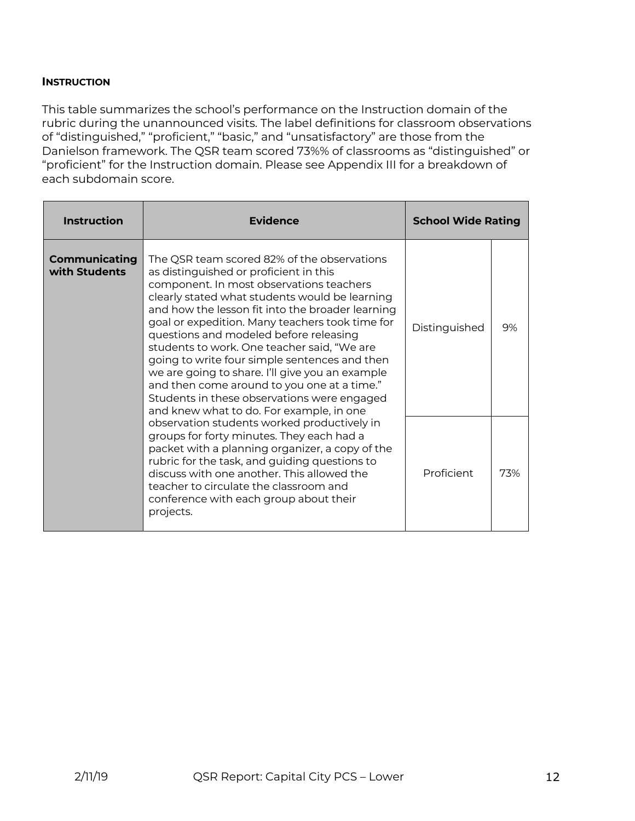## **INSTRUCTION**

This table summarizes the school's performance on the Instruction domain of the rubric during the unannounced visits. The label definitions for classroom observations of "distinguished," "proficient," "basic," and "unsatisfactory" are those from the Danielson framework. The QSR team scored 73%% of classrooms as "distinguished" or "proficient" for the Instruction domain. Please see Appendix III for a breakdown of each subdomain score.

| <b>Instruction</b>                                                                                                                                                                                                                                                                                                                                                                      | Evidence                                                                                                                                                                                                                                                                                                                                                                                                                                                                                                                                                                              | <b>School Wide Rating</b> |    |
|-----------------------------------------------------------------------------------------------------------------------------------------------------------------------------------------------------------------------------------------------------------------------------------------------------------------------------------------------------------------------------------------|---------------------------------------------------------------------------------------------------------------------------------------------------------------------------------------------------------------------------------------------------------------------------------------------------------------------------------------------------------------------------------------------------------------------------------------------------------------------------------------------------------------------------------------------------------------------------------------|---------------------------|----|
| <b>Communicating</b><br>with Students                                                                                                                                                                                                                                                                                                                                                   | The QSR team scored 82% of the observations<br>as distinguished or proficient in this<br>component. In most observations teachers<br>clearly stated what students would be learning<br>and how the lesson fit into the broader learning<br>goal or expedition. Many teachers took time for<br>questions and modeled before releasing<br>students to work. One teacher said, "We are<br>going to write four simple sentences and then<br>we are going to share. I'll give you an example<br>and then come around to you one at a time."<br>Students in these observations were engaged | Distinguished             | 9% |
| and knew what to do. For example, in one<br>observation students worked productively in<br>groups for forty minutes. They each had a<br>packet with a planning organizer, a copy of the<br>rubric for the task, and guiding questions to<br>discuss with one another. This allowed the<br>teacher to circulate the classroom and<br>conference with each group about their<br>projects. | Proficient                                                                                                                                                                                                                                                                                                                                                                                                                                                                                                                                                                            | 73%                       |    |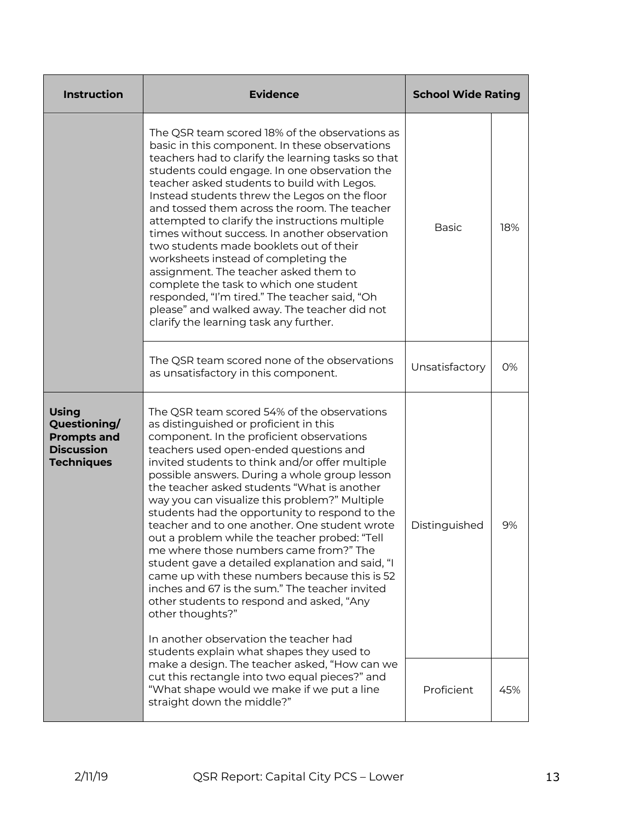| <b>Instruction</b>                                                                           | <b>Evidence</b>                                                                                                                                                                                                                                                                                                                                                                                                                                                                                                                                                                                                                                                                                                                                                                                                                                                                               | <b>School Wide Rating</b> |     |
|----------------------------------------------------------------------------------------------|-----------------------------------------------------------------------------------------------------------------------------------------------------------------------------------------------------------------------------------------------------------------------------------------------------------------------------------------------------------------------------------------------------------------------------------------------------------------------------------------------------------------------------------------------------------------------------------------------------------------------------------------------------------------------------------------------------------------------------------------------------------------------------------------------------------------------------------------------------------------------------------------------|---------------------------|-----|
|                                                                                              | The QSR team scored 18% of the observations as<br>basic in this component. In these observations<br>teachers had to clarify the learning tasks so that<br>students could engage. In one observation the<br>teacher asked students to build with Legos.<br>Instead students threw the Legos on the floor<br>and tossed them across the room. The teacher<br>attempted to clarify the instructions multiple<br>times without success. In another observation<br>two students made booklets out of their<br>worksheets instead of completing the<br>assignment. The teacher asked them to<br>complete the task to which one student<br>responded, "I'm tired." The teacher said, "Oh<br>please" and walked away. The teacher did not<br>clarify the learning task any further.                                                                                                                   | <b>Basic</b>              | 18% |
|                                                                                              | The QSR team scored none of the observations<br>as unsatisfactory in this component.                                                                                                                                                                                                                                                                                                                                                                                                                                                                                                                                                                                                                                                                                                                                                                                                          | Unsatisfactory            | 0%  |
| <b>Using</b><br>Questioning/<br><b>Prompts and</b><br><b>Discussion</b><br><b>Techniques</b> | The QSR team scored 54% of the observations<br>as distinguished or proficient in this<br>component. In the proficient observations<br>teachers used open-ended questions and<br>invited students to think and/or offer multiple<br>possible answers. During a whole group lesson<br>the teacher asked students "What is another<br>way you can visualize this problem?" Multiple<br>students had the opportunity to respond to the<br>teacher and to one another. One student wrote<br>out a problem while the teacher probed: "Tell<br>me where those numbers came from?" The<br>student gave a detailed explanation and said, "I<br>came up with these numbers because this is 52<br>inches and 67 is the sum." The teacher invited<br>other students to respond and asked, "Any<br>other thoughts?"<br>In another observation the teacher had<br>students explain what shapes they used to | Distinguished             | 9%  |
|                                                                                              | make a design. The teacher asked, "How can we<br>cut this rectangle into two equal pieces?" and<br>"What shape would we make if we put a line<br>straight down the middle?"                                                                                                                                                                                                                                                                                                                                                                                                                                                                                                                                                                                                                                                                                                                   | Proficient                | 45% |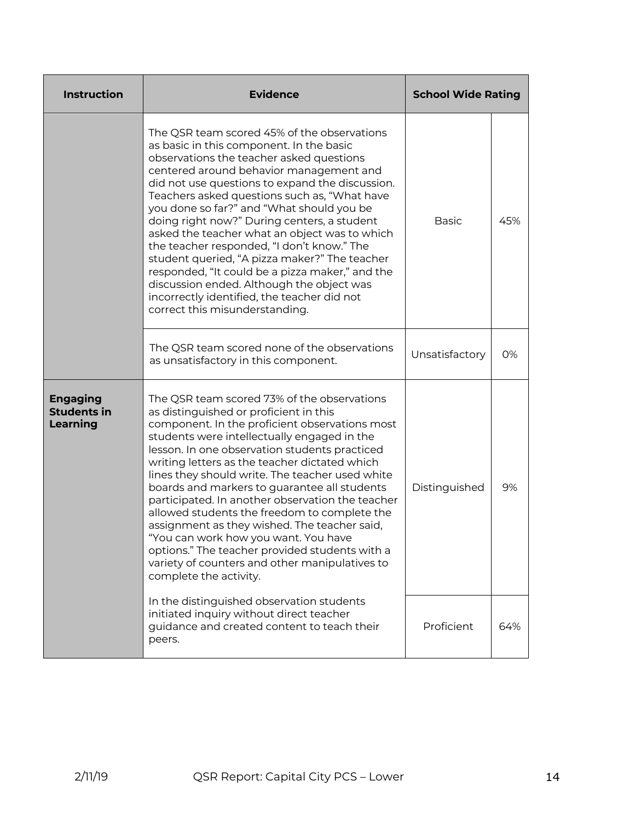| <b>Instruction</b>                                                                                                                             | <b>Evidence</b>                                                                                                                                                                                                                                                                                                                                                                                                                                                                                                                                                                                                                                                                                                       | <b>School Wide Rating</b> |     |
|------------------------------------------------------------------------------------------------------------------------------------------------|-----------------------------------------------------------------------------------------------------------------------------------------------------------------------------------------------------------------------------------------------------------------------------------------------------------------------------------------------------------------------------------------------------------------------------------------------------------------------------------------------------------------------------------------------------------------------------------------------------------------------------------------------------------------------------------------------------------------------|---------------------------|-----|
|                                                                                                                                                | The QSR team scored 45% of the observations<br>as basic in this component. In the basic<br>observations the teacher asked questions<br>centered around behavior management and<br>did not use questions to expand the discussion.<br>Teachers asked questions such as, "What have<br>you done so far?" and "What should you be<br>doing right now?" During centers, a student<br>asked the teacher what an object was to which<br>the teacher responded, "I don't know." The<br>student queried, "A pizza maker?" The teacher<br>responded, "It could be a pizza maker," and the<br>discussion ended. Although the object was<br>incorrectly identified, the teacher did not<br>correct this misunderstanding.        | <b>Basic</b>              | 45% |
|                                                                                                                                                | The QSR team scored none of the observations<br>as unsatisfactory in this component.                                                                                                                                                                                                                                                                                                                                                                                                                                                                                                                                                                                                                                  | Unsatisfactory            | 0%  |
| <b>Engaging</b><br><b>Students in</b><br><b>Learning</b>                                                                                       | The QSR team scored 73% of the observations<br>as distinguished or proficient in this<br>component. In the proficient observations most<br>students were intellectually engaged in the<br>lesson. In one observation students practiced<br>writing letters as the teacher dictated which<br>lines they should write. The teacher used white<br>boards and markers to guarantee all students<br>participated. In another observation the teacher<br>allowed students the freedom to complete the<br>assignment as they wished. The teacher said,<br>"You can work how you want. You have<br>options." The teacher provided students with a<br>variety of counters and other manipulatives to<br>complete the activity. | Distinguished             | 9%  |
| In the distinguished observation students<br>initiated inquiry without direct teacher<br>guidance and created content to teach their<br>peers. |                                                                                                                                                                                                                                                                                                                                                                                                                                                                                                                                                                                                                                                                                                                       | Proficient                | 64% |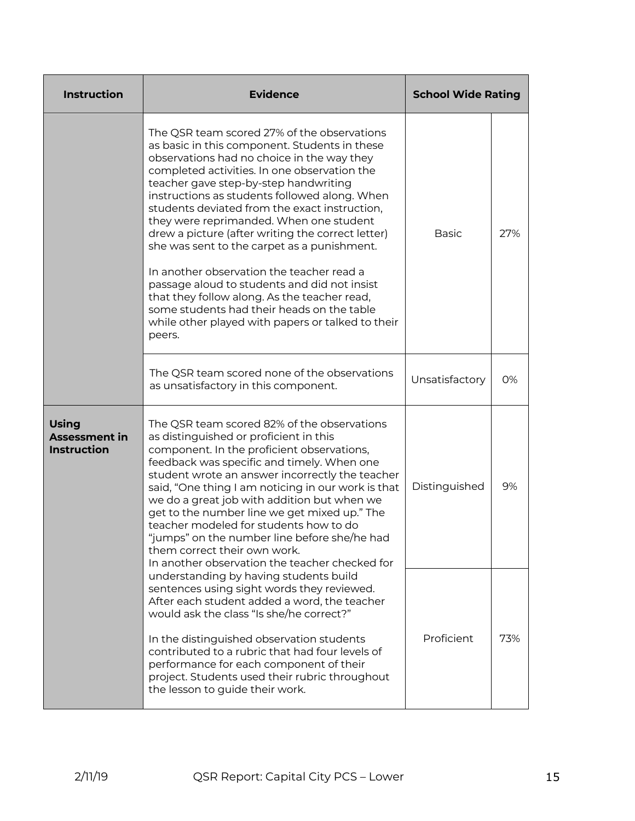| <b>Instruction</b>                                         | <b>Evidence</b>                                                                                                                                                                                                                                                                                                                                                                                                                                                                                                                                                                                                                                                                                                                                | <b>School Wide Rating</b> |     |
|------------------------------------------------------------|------------------------------------------------------------------------------------------------------------------------------------------------------------------------------------------------------------------------------------------------------------------------------------------------------------------------------------------------------------------------------------------------------------------------------------------------------------------------------------------------------------------------------------------------------------------------------------------------------------------------------------------------------------------------------------------------------------------------------------------------|---------------------------|-----|
|                                                            | The QSR team scored 27% of the observations<br>as basic in this component. Students in these<br>observations had no choice in the way they<br>completed activities. In one observation the<br>teacher gave step-by-step handwriting<br>instructions as students followed along. When<br>students deviated from the exact instruction,<br>they were reprimanded. When one student<br>drew a picture (after writing the correct letter)<br>she was sent to the carpet as a punishment.<br>In another observation the teacher read a<br>passage aloud to students and did not insist<br>that they follow along. As the teacher read,<br>some students had their heads on the table<br>while other played with papers or talked to their<br>peers. | <b>Basic</b>              | 27% |
|                                                            | The QSR team scored none of the observations<br>as unsatisfactory in this component.                                                                                                                                                                                                                                                                                                                                                                                                                                                                                                                                                                                                                                                           | Unsatisfactory            | 0%  |
| <b>Using</b><br><b>Assessment in</b><br><b>Instruction</b> | The QSR team scored 82% of the observations<br>as distinguished or proficient in this<br>component. In the proficient observations,<br>feedback was specific and timely. When one<br>student wrote an answer incorrectly the teacher<br>said, "One thing I am noticing in our work is that<br>we do a great job with addition but when we<br>get to the number line we get mixed up." The<br>teacher modeled for students how to do<br>"iumps" on the number line before she/he had<br>them correct their own work.<br>In another observation the teacher checked for                                                                                                                                                                          | Distinguished             | 9%  |
|                                                            | understanding by having students build<br>sentences using sight words they reviewed.<br>After each student added a word, the teacher<br>would ask the class "Is she/he correct?"<br>In the distinguished observation students<br>contributed to a rubric that had four levels of<br>performance for each component of their<br>project. Students used their rubric throughout<br>the lesson to guide their work.                                                                                                                                                                                                                                                                                                                               | Proficient                | 73% |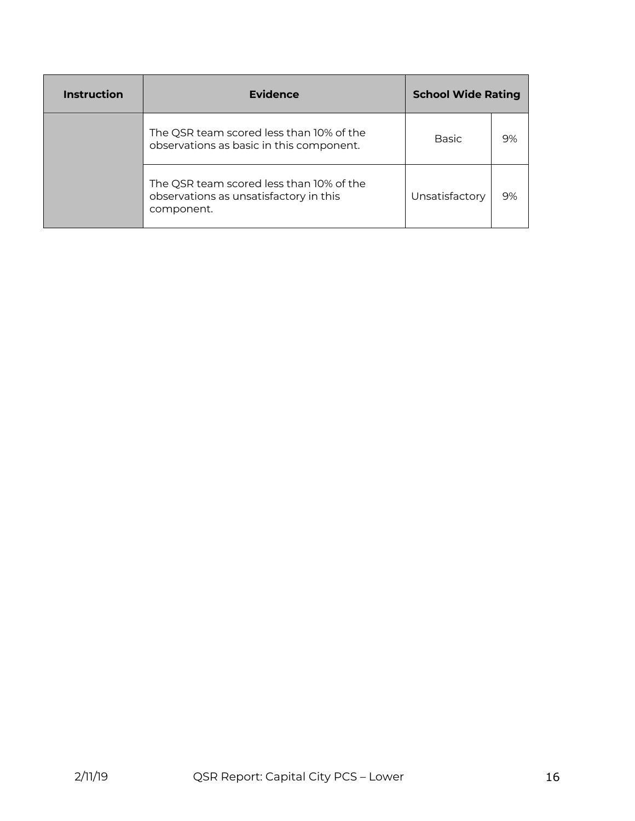| Instruction | Evidence                                                                                         | <b>School Wide Rating</b> |    |
|-------------|--------------------------------------------------------------------------------------------------|---------------------------|----|
|             | The QSR team scored less than 10% of the<br>observations as basic in this component.             | <b>Basic</b>              | 9% |
|             | The QSR team scored less than 10% of the<br>observations as unsatisfactory in this<br>component. | Unsatisfactory            | 9% |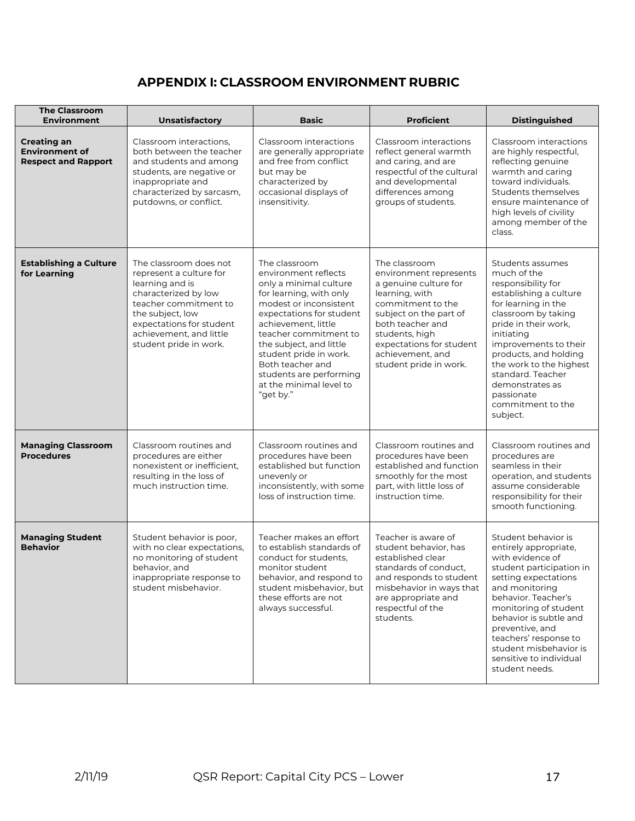## **APPENDIX I: CLASSROOM ENVIRONMENT RUBRIC**

| <b>The Classroom</b><br><b>Environment</b>                                | Unsatisfactory                                                                                                                                                                                                             | <b>Basic</b>                                                                                                                                                                                                                                                                                                                                 | <b>Proficient</b>                                                                                                                                                                                                                                 | <b>Distinguished</b>                                                                                                                                                                                                                                                                                                                    |
|---------------------------------------------------------------------------|----------------------------------------------------------------------------------------------------------------------------------------------------------------------------------------------------------------------------|----------------------------------------------------------------------------------------------------------------------------------------------------------------------------------------------------------------------------------------------------------------------------------------------------------------------------------------------|---------------------------------------------------------------------------------------------------------------------------------------------------------------------------------------------------------------------------------------------------|-----------------------------------------------------------------------------------------------------------------------------------------------------------------------------------------------------------------------------------------------------------------------------------------------------------------------------------------|
| <b>Creating an</b><br><b>Environment of</b><br><b>Respect and Rapport</b> | Classroom interactions,<br>both between the teacher<br>and students and among<br>students, are negative or<br>inappropriate and<br>characterized by sarcasm,<br>putdowns, or conflict.                                     | Classroom interactions<br>are generally appropriate<br>and free from conflict<br>but may be<br>characterized by<br>occasional displays of<br>insensitivity.                                                                                                                                                                                  | Classroom interactions<br>reflect general warmth<br>and caring, and are<br>respectful of the cultural<br>and developmental<br>differences among<br>groups of students.                                                                            | Classroom interactions<br>are highly respectful,<br>reflecting genuine<br>warmth and caring<br>toward individuals.<br>Students themselves<br>ensure maintenance of<br>high levels of civility<br>among member of the<br>class.                                                                                                          |
| <b>Establishing a Culture</b><br>for Learning                             | The classroom does not<br>represent a culture for<br>learning and is<br>characterized by low<br>teacher commitment to<br>the subject, low<br>expectations for student<br>achievement, and little<br>student pride in work. | The classroom<br>environment reflects<br>only a minimal culture<br>for learning, with only<br>modest or inconsistent<br>expectations for student<br>achievement, little<br>teacher commitment to<br>the subject, and little<br>student pride in work.<br>Both teacher and<br>students are performing<br>at the minimal level to<br>"get by." | The classroom<br>environment represents<br>a genuine culture for<br>learning, with<br>commitment to the<br>subject on the part of<br>both teacher and<br>students, high<br>expectations for student<br>achievement, and<br>student pride in work. | Students assumes<br>much of the<br>responsibility for<br>establishing a culture<br>for learning in the<br>classroom by taking<br>pride in their work,<br>initiating<br>improvements to their<br>products, and holding<br>the work to the highest<br>standard. Teacher<br>demonstrates as<br>passionate<br>commitment to the<br>subject. |
| <b>Managing Classroom</b><br><b>Procedures</b>                            | Classroom routines and<br>procedures are either<br>nonexistent or inefficient,<br>resulting in the loss of<br>much instruction time.                                                                                       | Classroom routines and<br>procedures have been<br>established but function<br>unevenly or<br>inconsistently, with some<br>loss of instruction time.                                                                                                                                                                                          | Classroom routines and<br>procedures have been<br>established and function<br>smoothly for the most<br>part, with little loss of<br>instruction time.                                                                                             | Classroom routines and<br>procedures are<br>seamless in their<br>operation, and students<br>assume considerable<br>responsibility for their<br>smooth functioning.                                                                                                                                                                      |
| <b>Managing Student</b><br><b>Behavior</b>                                | Student behavior is poor,<br>with no clear expectations,<br>no monitoring of student<br>behavior, and<br>inappropriate response to<br>student misbehavior.                                                                 | Teacher makes an effort<br>to establish standards of<br>conduct for students,<br>monitor student<br>behavior, and respond to<br>student misbehavior, but<br>these efforts are not<br>always successful.                                                                                                                                      | Teacher is aware of<br>student behavior, has<br>established clear<br>standards of conduct,<br>and responds to student<br>misbehavior in ways that<br>are appropriate and<br>respectful of the<br>students.                                        | Student behavior is<br>entirely appropriate,<br>with evidence of<br>student participation in<br>setting expectations<br>and monitoring<br>behavior. Teacher's<br>monitoring of student<br>behavior is subtle and<br>preventive, and<br>teachers' response to<br>student misbehavior is<br>sensitive to individual<br>student needs.     |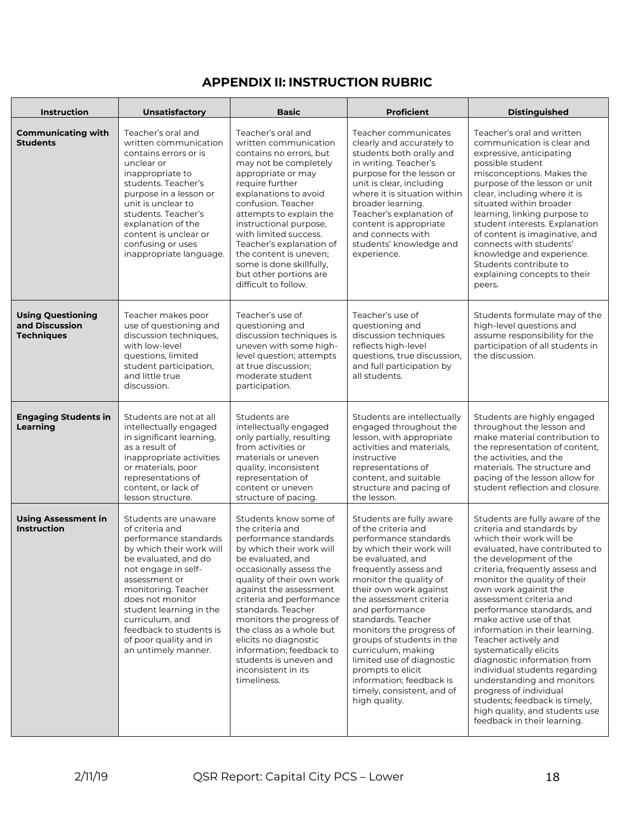# **APPENDIX II: INSTRUCTION RUBRIC**

| <b>Instruction</b>                                              | Unsatisfactory                                                                                                                                                                                                                                                                                                                    | <b>Basic</b>                                                                                                                                                                                                                                                                                                                                                                                                                         | <b>Proficient</b>                                                                                                                                                                                                                                                                                                                                                                                                                                                                      | <b>Distinguished</b>                                                                                                                                                                                                                                                                                                                                                                                                                                                                                                                                                                                                                              |  |
|-----------------------------------------------------------------|-----------------------------------------------------------------------------------------------------------------------------------------------------------------------------------------------------------------------------------------------------------------------------------------------------------------------------------|--------------------------------------------------------------------------------------------------------------------------------------------------------------------------------------------------------------------------------------------------------------------------------------------------------------------------------------------------------------------------------------------------------------------------------------|----------------------------------------------------------------------------------------------------------------------------------------------------------------------------------------------------------------------------------------------------------------------------------------------------------------------------------------------------------------------------------------------------------------------------------------------------------------------------------------|---------------------------------------------------------------------------------------------------------------------------------------------------------------------------------------------------------------------------------------------------------------------------------------------------------------------------------------------------------------------------------------------------------------------------------------------------------------------------------------------------------------------------------------------------------------------------------------------------------------------------------------------------|--|
| <b>Communicating with</b><br><b>Students</b>                    | Teacher's oral and<br>written communication<br>contains errors or is<br>unclear or<br>inappropriate to<br>students. Teacher's<br>purpose in a lesson or<br>unit is unclear to<br>students. Teacher's<br>explanation of the<br>content is unclear or<br>confusing or uses<br>inappropriate language.                               | Teacher's oral and<br>written communication<br>contains no errors, but<br>may not be completely<br>appropriate or may<br>require further<br>explanations to avoid<br>confusion. Teacher<br>attempts to explain the<br>instructional purpose,<br>with limited success.<br>Teacher's explanation of<br>the content is uneven;<br>some is done skillfully,<br>but other portions are<br>difficult to follow.                            | Teacher communicates<br>clearly and accurately to<br>students both orally and<br>in writing. Teacher's<br>purpose for the lesson or<br>unit is clear, including<br>where it is situation within<br>broader learning.<br>Teacher's explanation of<br>content is appropriate<br>and connects with<br>students' knowledge and<br>experience.                                                                                                                                              | Teacher's oral and written<br>communication is clear and<br>expressive, anticipating<br>possible student<br>misconceptions. Makes the<br>purpose of the lesson or unit<br>clear, including where it is<br>situated within broader<br>learning, linking purpose to<br>student interests. Explanation<br>of content is imaginative, and<br>connects with students'<br>knowledge and experience.<br>Students contribute to<br>explaining concepts to their<br>peers.                                                                                                                                                                                 |  |
| <b>Using Questioning</b><br>and Discussion<br><b>Techniques</b> | Teacher makes poor<br>use of questioning and<br>discussion techniques,<br>with low-level<br>questions, limited<br>student participation,<br>and little true<br>discussion.                                                                                                                                                        | Teacher's use of<br>questioning and<br>discussion techniques is<br>uneven with some high-<br>level question; attempts<br>at true discussion;<br>moderate student<br>participation.                                                                                                                                                                                                                                                   | Teacher's use of<br>questioning and<br>discussion techniques<br>reflects high-level<br>questions, true discussion,<br>and full participation by<br>all students.                                                                                                                                                                                                                                                                                                                       | Students formulate may of the<br>high-level questions and<br>assume responsibility for the<br>participation of all students in<br>the discussion.                                                                                                                                                                                                                                                                                                                                                                                                                                                                                                 |  |
| <b>Engaging Students in</b><br>Learning                         | Students are not at all<br>intellectually engaged<br>in significant learning,<br>as a result of<br>inappropriate activities<br>or materials, poor<br>representations of<br>content, or lack of<br>lesson structure.                                                                                                               | Students are<br>intellectually engaged<br>only partially, resulting<br>from activities or<br>materials or uneven<br>quality, inconsistent<br>representation of<br>content or uneven<br>structure of pacing.                                                                                                                                                                                                                          | Students are intellectually<br>engaged throughout the<br>lesson, with appropriate<br>activities and materials,<br>instructive<br>representations of<br>content, and suitable<br>structure and pacing of<br>the lesson.                                                                                                                                                                                                                                                                 | Students are highly engaged<br>throughout the lesson and<br>make material contribution to<br>the representation of content,<br>the activities, and the<br>materials. The structure and<br>pacing of the lesson allow for<br>student reflection and closure.                                                                                                                                                                                                                                                                                                                                                                                       |  |
| <b>Using Assessment in</b><br><b>Instruction</b>                | Students are unaware<br>of criteria and<br>performance standards<br>by which their work will<br>be evaluated, and do<br>not engage in self-<br>assessment or<br>monitoring. Teacher<br>does not monitor<br>student learning in the<br>curriculum, and<br>feedback to students is<br>of poor quality and in<br>an untimely manner. | Students know some of<br>the criteria and<br>performance standards<br>by which their work will<br>be evaluated, and<br>occasionally assess the<br>quality of their own work<br>against the assessment<br>criteria and performance<br>standards. Teacher<br>monitors the progress of<br>the class as a whole but<br>elicits no diagnostic<br>information; feedback to<br>students is uneven and<br>inconsistent in its<br>timeliness. | Students are fully aware<br>of the criteria and<br>performance standards<br>by which their work will<br>be evaluated, and<br>frequently assess and<br>monitor the quality of<br>their own work against<br>the assessment criteria<br>and performance<br>standards. Teacher<br>monitors the progress of<br>groups of students in the<br>curriculum, making<br>limited use of diagnostic<br>prompts to elicit<br>information; feedback is<br>timely, consistent, and of<br>high quality. | Students are fully aware of the<br>criteria and standards by<br>which their work will be<br>evaluated, have contributed to<br>the development of the<br>criteria, frequently assess and<br>monitor the quality of their<br>own work against the<br>assessment criteria and<br>performance standards, and<br>make active use of that<br>information in their learning.<br>Teacher actively and<br>systematically elicits<br>diagnostic information from<br>individual students regarding<br>understanding and monitors<br>progress of individual<br>students; feedback is timely,<br>high quality, and students use<br>feedback in their learning. |  |